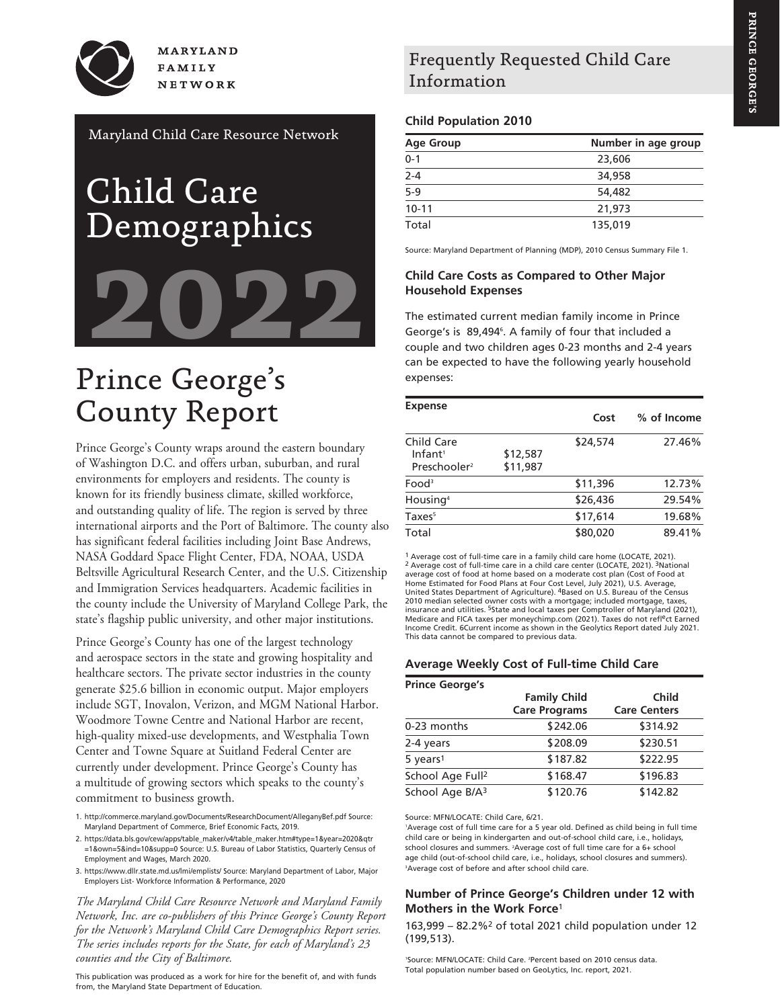PRINCE GEORGE'S **PRINCE GEORGE'S**

**MARYLAND FAMILY** NETWORK

Maryland Child Care Resource Network

# Child Care Demographics **2022**

# Prince George's County Report

Prince George's County wraps around the eastern boundary of Washington D.C. and offers urban, suburban, and rural environments for employers and residents. The county is known for its friendly business climate, skilled workforce, and outstanding quality of life. The region is served by three international airports and the Port of Baltimore. The county also has significant federal facilities including Joint Base Andrews, NASA Goddard Space Flight Center, FDA, NOAA, USDA Beltsville Agricultural Research Center, and the U.S. Citizenship and Immigration Services headquarters. Academic facilities in the county include the University of Maryland College Park, the state's flagship public university, and other major institutions.

Prince George's County has one of the largest technology and aerospace sectors in the state and growing hospitality and healthcare sectors. The private sector industries in the county generate \$25.6 billion in economic output. Major employers include SGT, Inovalon, Verizon, and MGM National Harbor. Woodmore Towne Centre and National Harbor are recent, high-quality mixed-use developments, and Westphalia Town Center and Towne Square at Suitland Federal Center are currently under development. Prince George's County has a multitude of growing sectors which speaks to the county's commitment to business growth.

1. http://commerce.maryland.gov/Documents/ResearchDocument/AlleganyBef.pdf Source: Maryland Department of Commerce, Brief Economic Facts, 2019.

2. https://data.bls.gov/cew/apps/table\_maker/v4/table\_maker.htm#type=1&year=2020&qtr =1&own=5&ind=10&supp=0 Source: U.S. Bureau of Labor Statistics, Quarterly Census of Employment and Wages, March 2020.

3. https://www.dllr.state.md.us/lmi/emplists/ Source: Maryland Department of Labor, Major Employers List- Workforce Information & Performance, 2020

*The Maryland Child Care Resource Network and Maryland Family Network, Inc. are co-publishers of this Prince George's County Report for the Network's Maryland Child Care Demographics Report series. The series includes reports for the State, for each of Maryland's 23 counties and the City of Baltimore.*

This publication was produced as a work for hire for the benefit of, and with funds from, the Maryland State Department of Education.

## Frequently Requested Child Care Information

#### **Child Population 2010**

| <b>Age Group</b> | Number in age group |
|------------------|---------------------|
| $0 - 1$          | 23,606              |
| $2 - 4$          | 34,958              |
| $5-9$            | 54,482              |
| $10 - 11$        | 21,973              |
| Total            | 135,019             |

Source: Maryland Department of Planning (MDP), 2010 Census Summary File 1.

#### **Child Care Costs as Compared to Other Major Household Expenses**

The estimated current median family income in Prince George's is 89,494<sup>6</sup>. A family of four that included a couple and two children ages 0-23 months and 2-4 years can be expected to have the following yearly household expenses:

| <b>Expense</b>                                                |                      | Cost     | % of Income |
|---------------------------------------------------------------|----------------------|----------|-------------|
| Child Care<br>Infant <sup>1</sup><br>Preschooler <sup>2</sup> | \$12,587<br>\$11,987 | \$24,574 | 27.46%      |
| Food <sup>3</sup>                                             |                      | \$11,396 | 12.73%      |
| Housing <sup>4</sup>                                          |                      | \$26,436 | 29.54%      |
| Taxes <sup>5</sup>                                            |                      | \$17,614 | 19.68%      |
| Total                                                         |                      | \$80,020 | 89.41%      |
|                                                               |                      |          |             |

<sup>1</sup> Average cost of full-time care in a family child care home (LOCATE, 2021).<br><sup>2</sup> Average cost of full-time care in a child care center (LOCATE, 2021). <sup>3</sup>National average cost of food at home based on a moderate cost plan (Cost of Food at Home Estimated for Food Plans at Four Cost Level, July 2021), U.S. Average,<br>United States Department of Agriculture). <sup>4</sup>Based on U.S. Bureau of the Census 2010 median selected owner costs with a mortgage; included mortgage, taxes insurance and utilities. <sup>5</sup>State and local taxes per Comptroller of Maryland (2021),<br>Medicare and FICA taxes per moneychimp.com (2021). Taxes do not refl<sup>e</sup>ct Earned Income Credit. 6Current income as shown in the Geolytics Report dated July 2021. This data cannot be compared to previous data.

#### **Average Weekly Cost of Full-time Child Care**

| <b>Prince George's</b>       |                                             |                                     |
|------------------------------|---------------------------------------------|-------------------------------------|
|                              | <b>Family Child</b><br><b>Care Programs</b> | <b>Child</b><br><b>Care Centers</b> |
| 0-23 months                  | \$242.06                                    | \$314.92                            |
| 2-4 years                    | \$208.09                                    | \$230.51                            |
| 5 years <sup>1</sup>         | \$187.82                                    | \$222.95                            |
| School Age Full <sup>2</sup> | \$168.47                                    | \$196.83                            |
| School Age B/A <sup>3</sup>  | \$120.76                                    | \$142.82                            |

Source: MFN/LOCATE: Child Care, 6/21.

1 Average cost of full time care for a 5 year old. Defined as child being in full time child care or being in kindergarten and out-of-school child care, i.e., holidays, school closures and summers. 2 Average cost of full time care for a 6+ school age child (out-of-school child care, i.e., holidays, school closures and summers). 3 Average cost of before and after school child care.

#### **Number of Prince George's Children under 12 with Mothers in the Work Force**<sup>1</sup>

163,999 – 82.2%2 of total 2021 child population under 12 (199,513).

1 Source: MFN/LOCATE: Child Care. 2 Percent based on 2010 census data. Total population number based on GeoLytics, Inc. report, 2021.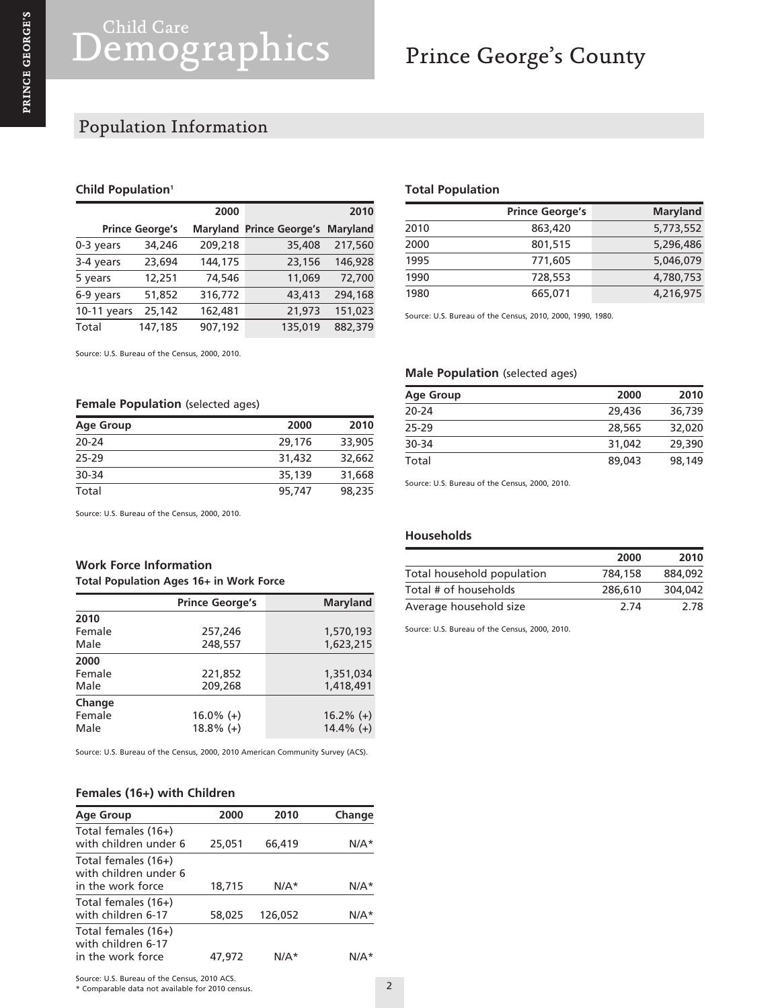## Prince George's County

## Population Information

#### **Child Population<sup>1</sup>**

|               |                        | 2000    |                                 | 2010            |
|---------------|------------------------|---------|---------------------------------|-----------------|
|               | <b>Prince George's</b> |         | <b>Maryland Prince George's</b> | <b>Maryland</b> |
| $0-3$ years   | 34,246                 | 209,218 | 35,408                          | 217,560         |
| 3-4 years     | 23,694                 | 144,175 | 23,156                          | 146,928         |
| 5 years       | 12,251                 | 74,546  | 11,069                          | 72,700          |
| 6-9 years     | 51,852                 | 316,772 | 43,413                          | 294,168         |
| $10-11$ years | 25,142                 | 162,481 | 21,973                          | 151,023         |
| Total         | 147,185                | 907,192 | 135,019                         | 882,379         |

Source: U.S. Bureau of the Census, 2000, 2010.

#### **Female Population** (selected ages)

| <b>Age Group</b> | 2000   | 2010   |
|------------------|--------|--------|
| $20 - 24$        | 29,176 | 33,905 |
| 25-29            | 31,432 | 32,662 |
| 30-34            | 35,139 | 31,668 |
| Total            | 95,747 | 98,235 |

Source: U.S. Bureau of the Census, 2000, 2010.

### **Work Force Information**

#### **Total Population Ages 16+ in Work Force**

|        | <b>Prince George's</b> | <b>Maryland</b> |
|--------|------------------------|-----------------|
| 2010   |                        |                 |
| Female | 257,246                | 1,570,193       |
| Male   | 248,557                | 1,623,215       |
| 2000   |                        |                 |
| Female | 221,852                | 1,351,034       |
| Male   | 209,268                | 1,418,491       |
| Change |                        |                 |
| Female | $16.0\%$ (+)           | $16.2\%$ (+)    |
| Male   | $18.8\%$ (+)           | $14.4\%$ (+)    |

Source: U.S. Bureau of the Census, 2000, 2010 American Community Survey (ACS).

#### **Females (16+) with Children**

| <b>Age Group</b>                                                  | 2000   | 2010    | Change |
|-------------------------------------------------------------------|--------|---------|--------|
| Total females (16+)<br>with children under 6                      | 25,051 | 66,419  | $N/A*$ |
| Total females (16+)<br>with children under 6<br>in the work force | 18,715 | $N/A*$  | $N/A*$ |
| Total females (16+)<br>with children 6-17                         | 58,025 | 126,052 | $N/A*$ |
| Total females (16+)<br>with children 6-17<br>in the work force    | 47.972 | N/A*    | N/A*   |

#### **Total Population**

|      | <b>Prince George's</b> | <b>Maryland</b> |
|------|------------------------|-----------------|
| 2010 | 863,420                | 5,773,552       |
| 2000 | 801,515                | 5,296,486       |
| 1995 | 771,605                | 5,046,079       |
| 1990 | 728,553                | 4,780,753       |
| 1980 | 665,071                | 4,216,975       |

Source: U.S. Bureau of the Census, 2010, 2000, 1990, 1980.

#### **Male Population** (selected ages)

| <b>Age Group</b> | 2000   | 2010   |
|------------------|--------|--------|
| $20 - 24$        | 29,436 | 36,739 |
| 25-29            | 28,565 | 32,020 |
| 30-34            | 31,042 | 29,390 |
| Total            | 89,043 | 98,149 |

Source: U.S. Bureau of the Census, 2000, 2010.

#### **Households**

|                            | 2000    | 2010    |
|----------------------------|---------|---------|
| Total household population | 784,158 | 884,092 |
| Total # of households      | 286,610 | 304.042 |
| Average household size     | 2 74    | 2.78    |

Source: U.S. Bureau of the Census, 2000, 2010.

\* Comparable data not available for 2010 census.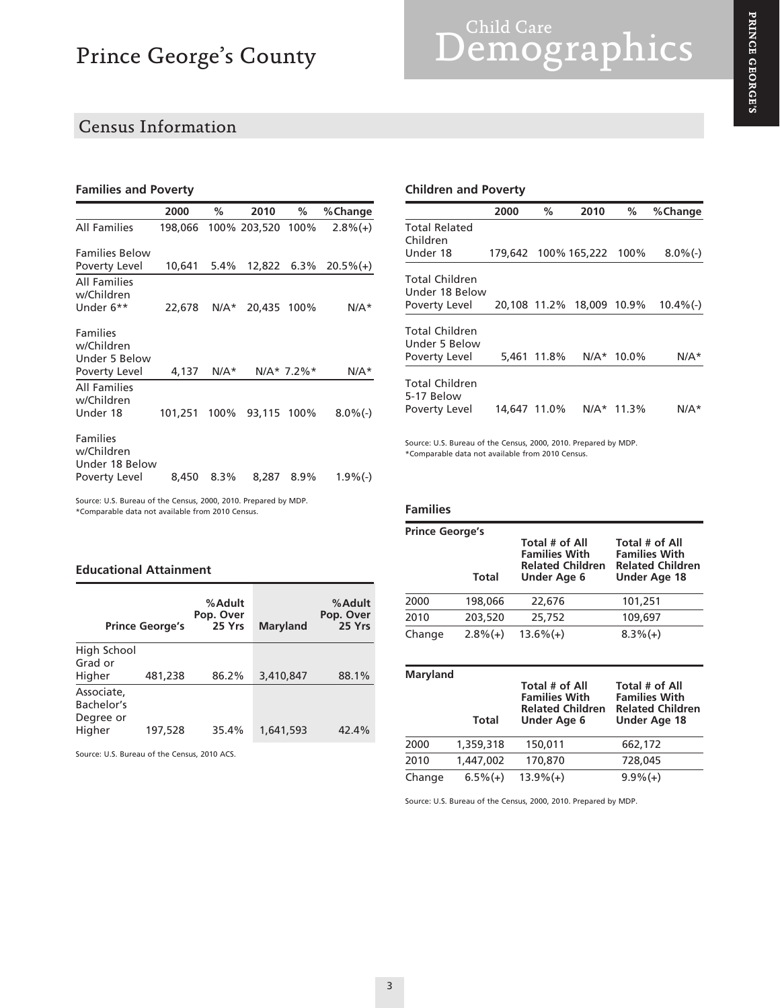## Census Information

#### **Families and Poverty**

|                                                                  | 2000         | ℅       | 2010              | ℅             | %Change     |
|------------------------------------------------------------------|--------------|---------|-------------------|---------------|-------------|
| <b>All Families</b>                                              | 198.066      |         | 100% 203,520 100% |               | $2.8\%(+)$  |
| <b>Families Below</b><br>Poverty Level                           | 10,641       | $5.4\%$ | 12,822            | $6.3\%$       | $20.5\%(+)$ |
| <b>All Families</b><br>w/Children<br>Under 6**                   | 22,678       | $N/A*$  | 20,435 100%       |               | $N/A*$      |
| <b>Families</b><br>w/Children<br>Under 5 Below<br>Poverty Level  | 4,137        | $N/A*$  |                   | $N/A* 7.2\%*$ | N/A*        |
| <b>All Families</b><br>w/Children<br>Under 18                    | 101.251 100% |         | 93,115 100%       |               | $8.0\%$ (-) |
| <b>Families</b><br>w/Children<br>Under 18 Below<br>Poverty Level | 8,450        | 8.3%    | 8,287             | 8.9%          | $1.9\%$ (-) |
| Source: U.S. Bureau of the Census, 2000, 2010. Prepared by MDP.  |              |         |                   |               |             |

#### **Children and Poverty**

|                                                  | 2000         | %           | 2010                      | %     | %Change      |
|--------------------------------------------------|--------------|-------------|---------------------------|-------|--------------|
| Total Related<br>Children                        |              |             |                           |       |              |
| Under 18                                         |              |             | 179,642 100% 165,222 100% |       | $8.0\%$ (-)  |
| Total Children<br>Under 18 Below                 |              |             |                           |       |              |
| Poverty Level                                    |              |             | 20,108 11.2% 18,009 10.9% |       | $10.4\%$ (-) |
| Total Children<br>Under 5 Below<br>Poverty Level |              | 5,461 11.8% | $N/A*$                    | 10.0% | N/A*         |
| Total Children                                   |              |             |                           |       |              |
| 5-17 Below<br>Poverty Level                      | 14.647 11.0% |             | $N/A*$                    | 11.3% | N/A*         |

Source: U.S. Bureau of the Census, 2000, 2010. Prepared by MDP. \*Comparable data not available from 2010 Census.

#### **Families**

| <b>Prince George's</b><br>Total # of All<br>Total # of All |            |                                                                       |                                                                        |  |
|------------------------------------------------------------|------------|-----------------------------------------------------------------------|------------------------------------------------------------------------|--|
|                                                            | Total      | <b>Families With</b><br><b>Related Children</b><br><b>Under Age 6</b> | <b>Families With</b><br><b>Related Children</b><br><b>Under Age 18</b> |  |
| 2000                                                       | 198,066    | 22,676                                                                | 101.251                                                                |  |
| 2010                                                       | 203,520    | 25,752                                                                | 109,697                                                                |  |
| Change                                                     | $2.8\%(+)$ | $13.6\%$ $(+)$                                                        | $8.3\%(+)$                                                             |  |

| Maryland | <b>Total</b> | Total # of All<br><b>Families With</b><br><b>Related Children</b><br><b>Under Age 6</b> | Total # of All<br><b>Families With</b><br><b>Related Children</b><br><b>Under Age 18</b> |
|----------|--------------|-----------------------------------------------------------------------------------------|------------------------------------------------------------------------------------------|
| 2000     | 1,359,318    | 150,011                                                                                 | 662,172                                                                                  |
| 2010     | 1,447,002    | 170,870                                                                                 | 728,045                                                                                  |
| Change   | $6.5\%(+)$   | $13.9\%(+)$                                                                             | $9.9\%(+)$                                                                               |

Source: U.S. Bureau of the Census, 2000, 2010. Prepared by MDP.

| <b>Educational Attainment</b> |  |
|-------------------------------|--|
|-------------------------------|--|

\*Comparable data not available from 2010 Census.

|                                                 | <b>Prince George's</b> | %Adult<br>Pop. Over<br>25 Yrs | <b>Maryland</b> | %Adult<br>Pop. Over<br>25 Yrs |
|-------------------------------------------------|------------------------|-------------------------------|-----------------|-------------------------------|
| High School<br>Grad or                          |                        |                               |                 |                               |
| Higher                                          | 481,238                | 86.2%                         | 3,410,847       | 88.1%                         |
| Associate.<br>Bachelor's<br>Degree or<br>Higher | 197,528                | 35.4%                         | 1,641,593       | 42.4%                         |

Source: U.S. Bureau of the Census, 2010 ACS.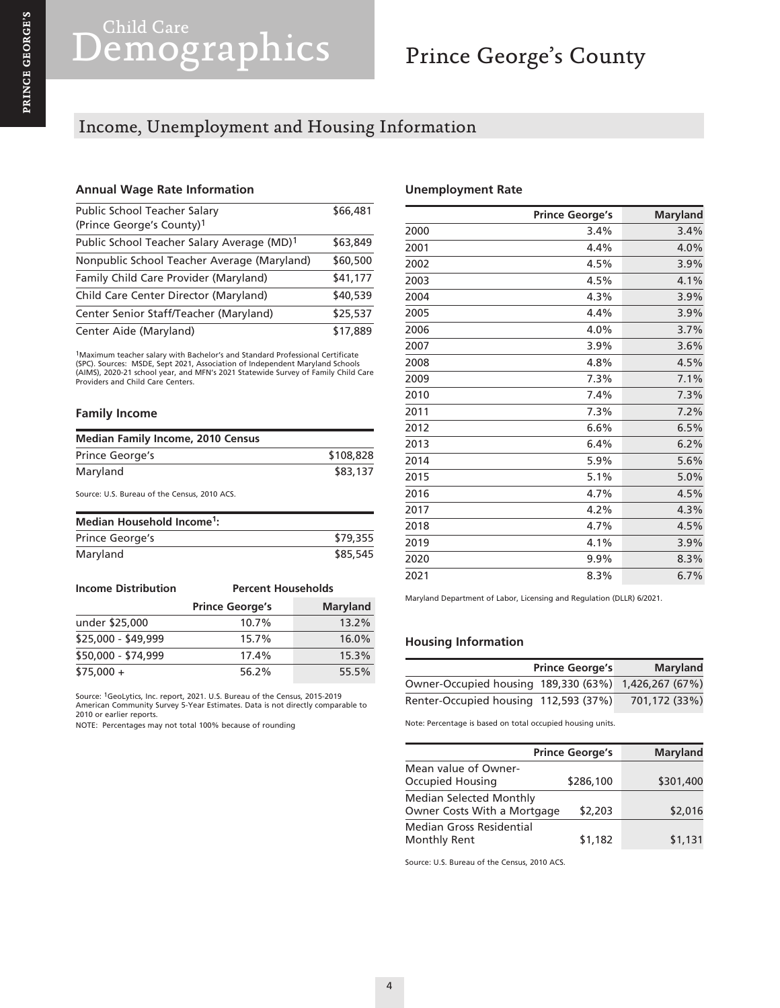## Income, Unemployment and Housing Information

#### **Annual Wage Rate Information**

| Public School Teacher Salary                           | \$66,481 |
|--------------------------------------------------------|----------|
| (Prince George's County) <sup>1</sup>                  |          |
| Public School Teacher Salary Average (MD) <sup>1</sup> | \$63,849 |
| Nonpublic School Teacher Average (Maryland)            | \$60,500 |
| Family Child Care Provider (Maryland)                  | \$41,177 |
| Child Care Center Director (Maryland)                  | \$40,539 |
| Center Senior Staff/Teacher (Maryland)                 | \$25,537 |
| Center Aide (Maryland)                                 | \$17,889 |

<sup>1</sup>Maximum teacher salary with Bachelor's and Standard Professional Certificate<br>(SPC). Sources: MSDE, Sept 2021, Association of Independent Maryland Schools<br>(AIMS), 2020-21 school year, and MFN's 2021 Statewide Survey of Providers and Child Care Centers.

#### **Family Income**

| <b>Median Family Income, 2010 Census</b> |           |  |
|------------------------------------------|-----------|--|
| Prince George's                          | \$108,828 |  |
| Maryland                                 | \$83,137  |  |

Source: U.S. Bureau of the Census, 2010 ACS.

| Median Household Income <sup>1</sup> : |          |  |
|----------------------------------------|----------|--|
| Prince George's                        | \$79,355 |  |
| Maryland                               | \$85,545 |  |

| <b>Income Distribution</b> | <b>Percent Households</b> |                 |  |
|----------------------------|---------------------------|-----------------|--|
|                            | <b>Prince George's</b>    | <b>Maryland</b> |  |
| under \$25,000             | 10.7%                     | 13.2%           |  |
| \$25,000 - \$49,999        | 15.7%                     | 16.0%           |  |
| \$50,000 - \$74,999        | 17.4%                     | 15.3%           |  |
| $$75,000 +$                | 56.2%                     | 55.5%           |  |

Source: 1GeoLytics, Inc. report, 2021. U.S. Bureau of the Census, 2015-2019 American Community Survey 5-Year Estimates. Data is not directly comparable to 2010 or earlier reports.

NOTE: Percentages may not total 100% because of rounding

#### **Unemployment Rate**

|      | <b>Prince George's</b> | <b>Maryland</b> |
|------|------------------------|-----------------|
| 2000 | 3.4%                   | 3.4%            |
| 2001 | 4.4%                   | 4.0%            |
| 2002 | 4.5%                   | 3.9%            |
| 2003 | 4.5%                   | 4.1%            |
| 2004 | 4.3%                   | 3.9%            |
| 2005 | 4.4%                   | 3.9%            |
| 2006 | 4.0%                   | 3.7%            |
| 2007 | 3.9%                   | 3.6%            |
| 2008 | 4.8%                   | 4.5%            |
| 2009 | 7.3%                   | 7.1%            |
| 2010 | 7.4%                   | 7.3%            |
| 2011 | 7.3%                   | 7.2%            |
| 2012 | 6.6%                   | 6.5%            |
| 2013 | 6.4%                   | 6.2%            |
| 2014 | 5.9%                   | 5.6%            |
| 2015 | 5.1%                   | 5.0%            |
| 2016 | 4.7%                   | 4.5%            |
| 2017 | 4.2%                   | 4.3%            |
| 2018 | 4.7%                   | 4.5%            |
| 2019 | 4.1%                   | 3.9%            |
| 2020 | 9.9%                   | 8.3%            |
| 2021 | 8.3%                   | 6.7%            |

Maryland Department of Labor, Licensing and Regulation (DLLR) 6/2021.

#### **Housing Information**

|                                                      | <b>Prince George's</b> | <b>Maryland</b> |
|------------------------------------------------------|------------------------|-----------------|
| Owner-Occupied housing 189,330 (63%) 1,426,267 (67%) |                        |                 |
| Renter-Occupied housing 112,593 (37%)                |                        | 701.172 (33%)   |

Note: Percentage is based on total occupied housing units.

|                                                               | <b>Prince George's</b> | <b>Maryland</b> |
|---------------------------------------------------------------|------------------------|-----------------|
| Mean value of Owner-<br>Occupied Housing                      | \$286,100              | \$301,400       |
| <b>Median Selected Monthly</b><br>Owner Costs With a Mortgage | \$2,203                | \$2,016         |
| Median Gross Residential<br>Monthly Rent                      | \$1,182                | \$1,131         |

Source: U.S. Bureau of the Census, 2010 ACS.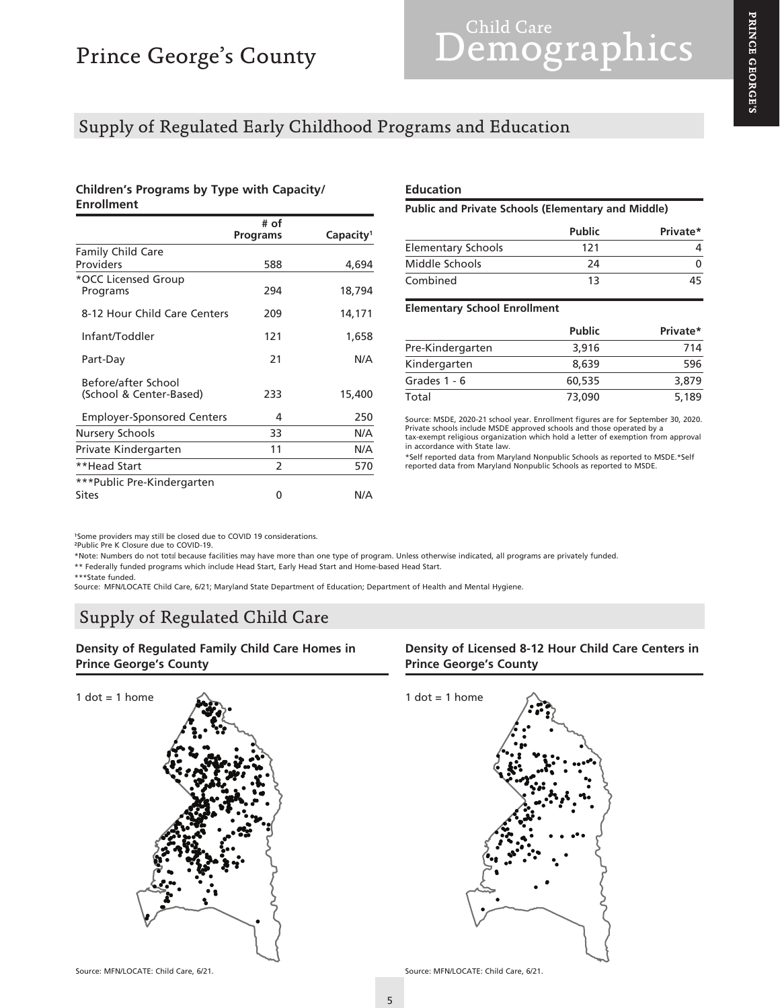# Child Care Child Care

### Supply of Regulated Early Childhood Programs and Education

#### **Children's Programs by Type with Capacity/ Enrollment**

|                                                | # of<br>Programs | Capacity <sup>1</sup> |
|------------------------------------------------|------------------|-----------------------|
| <b>Family Child Care</b>                       |                  |                       |
| Providers                                      | 588              | 4,694                 |
| *OCC Licensed Group<br>Programs                | 294              | 18,794                |
| 8-12 Hour Child Care Centers                   | 209              | 14,171                |
| Infant/Toddler                                 | 121              | 1,658                 |
| Part-Day                                       | 21               | N/A                   |
| Before/after School<br>(School & Center-Based) | 233              | 15,400                |
| <b>Employer-Sponsored Centers</b>              | 4                | 250                   |
| Nursery Schools                                | 33               | N/A                   |
| Private Kindergarten                           | 11               | N/A                   |
| **Head Start                                   | 2                | 570                   |
| ***Public Pre-Kindergarten                     |                  |                       |
| Sites                                          | 0                | N/A                   |

#### **Education**

**Public and Private Schools (Elementary and Middle)**

|                           | <b>Public</b> | Private* |
|---------------------------|---------------|----------|
| <b>Elementary Schools</b> | 121           |          |
| Middle Schools            | 24            |          |
| Combined                  | 13            | 45.      |

#### **Elementary School Enrollment**

|                  | <b>Public</b> | Private* |
|------------------|---------------|----------|
| Pre-Kindergarten | 3,916         | 714      |
| Kindergarten     | 8.639         | 596      |
| Grades $1 - 6$   | 60,535        | 3,879    |
| Total            | 73,090        | 5,189    |

Source: MSDE, 2020-21 school year. Enrollment figures are for September 30, 2020. Private schools include MSDE approved schools and those operated by a tax-exempt religious organization which hold a letter of exemption from approval in accordance with State law.

\*Self reported data from Maryland Nonpublic Schools as reported to MSDE.\*Self reported data from Maryland Nonpublic Schools as reported to MSDE.

1Some providers may still be closed due to COVID 19 considerations.<br><sup>2</sup>Public Pre K Closure due to COVID-19.

\*Note: Numbers do not total because facilities may have more than one type of program. Unless otherwise indicated, all programs are privately funded. \*\* Federally funded programs which include Head Start, Early Head Start and Home-based Head Start.

\*\*\*State funded. Source: MFN/LOCATE Child Care, 6/21; Maryland State Department of Education; Department of Health and Mental Hygiene.

## Supply of Regulated Child Care

**Density of Regulated Family Child Care Homes in Prince George's County**



#### **Density of Licensed 8-12 Hour Child Care Centers in Prince George's County**





Source: MFN/LOCATE: Child Care, 6/21. Source: MFN/LOCATE: Child Care, 6/21.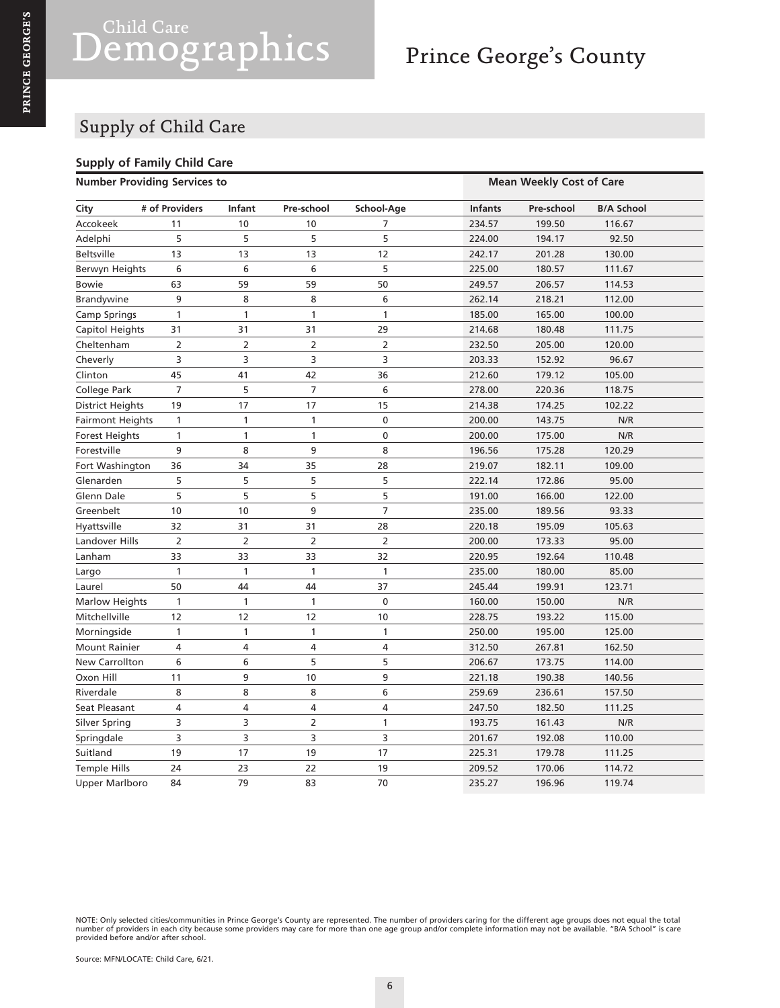# Child Care<br> **emographics**

# Prince George's County

## Supply of Child Care

#### **Supply of Family Child Care**

| <b>Number Providing Services to</b> |                |                |                |                | <b>Mean Weekly Cost of Care</b> |            |                   |
|-------------------------------------|----------------|----------------|----------------|----------------|---------------------------------|------------|-------------------|
| City                                | # of Providers | Infant         | Pre-school     | School-Age     | <b>Infants</b>                  | Pre-school | <b>B/A School</b> |
| Accokeek                            | 11             | 10             | 10             | 7              | 234.57                          | 199.50     | 116.67            |
| Adelphi                             | 5              | 5              | 5              | 5              | 224.00                          | 194.17     | 92.50             |
| <b>Beltsville</b>                   | 13             | 13             | 13             | 12             | 242.17                          | 201.28     | 130.00            |
| Berwyn Heights                      | 6              | 6              | 6              | 5              | 225.00                          | 180.57     | 111.67            |
| <b>Bowie</b>                        | 63             | 59             | 59             | 50             | 249.57                          | 206.57     | 114.53            |
| Brandywine                          | 9              | 8              | 8              | 6              | 262.14                          | 218.21     | 112.00            |
| Camp Springs                        | 1              | 1              | 1              | 1              | 185.00                          | 165.00     | 100.00            |
| Capitol Heights                     | 31             | 31             | 31             | 29             | 214.68                          | 180.48     | 111.75            |
| Cheltenham                          |                | $\overline{2}$ | 2              | $\overline{2}$ | 232.50                          | 205.00     | 120.00            |
| Cheverly                            | 3              | 3              | 3              | 3              | 203.33                          | 152.92     | 96.67             |
| Clinton                             | 45             | 41             | 42             | 36             | 212.60                          | 179.12     | 105.00            |
| College Park                        | $\overline{7}$ | 5              | $\overline{7}$ | 6              | 278.00                          | 220.36     | 118.75            |
| District Heights                    | 19             | 17             | 17             | 15             | 214.38                          | 174.25     | 102.22            |
| <b>Fairmont Heights</b>             | 1              | 1              | 1              | 0              | 200.00                          | 143.75     | N/R               |
| Forest Heights                      | $\mathbf{1}$   | $\mathbf{1}$   | $\mathbf{1}$   | 0              | 200.00                          | 175.00     | N/R               |
| Forestville                         | 9              | 8              | 9              | 8              | 196.56                          | 175.28     | 120.29            |
| Fort Washington                     | 36             | 34             | 35             | 28             | 219.07                          | 182.11     | 109.00            |
| Glenarden                           | 5              | 5              | 5              | 5              | 222.14                          | 172.86     | 95.00             |
| Glenn Dale                          | 5              | 5              | 5              | 5              | 191.00                          | 166.00     | 122.00            |
| Greenbelt                           | 10             | 10             | 9              | 7              | 235.00                          | 189.56     | 93.33             |
| Hyattsville                         | 32             | 31             | 31             | 28             | 220.18                          | 195.09     | 105.63            |
| Landover Hills                      | $\overline{2}$ | $\overline{2}$ | $\overline{2}$ | $\overline{2}$ | 200.00                          | 173.33     | 95.00             |
| Lanham                              | 33             | 33             | 33             | 32             | 220.95                          | 192.64     | 110.48            |
| Largo                               | 1              | $\mathbf{1}$   | 1              | 1              | 235.00                          | 180.00     | 85.00             |
| Laurel                              | 50             | 44             | 44             | 37             | 245.44                          | 199.91     | 123.71            |
| <b>Marlow Heights</b>               | 1              | 1              | 1              | 0              | 160.00                          | 150.00     | N/R               |
| Mitchellville                       | 12             | 12             | 12             | 10             | 228.75                          | 193.22     | 115.00            |
| Morningside                         | $\mathbf{1}$   | $\mathbf{1}$   | $\mathbf{1}$   | $\mathbf{1}$   | 250.00                          | 195.00     | 125.00            |
| <b>Mount Rainier</b>                | 4              | 4              | 4              | 4              | 312.50                          | 267.81     | 162.50            |
| New Carrollton                      | 6              | 6              | 5              | 5              | 206.67                          | 173.75     | 114.00            |
| Oxon Hill                           | 11             | 9              | 10             | 9              | 221.18                          | 190.38     | 140.56            |
| Riverdale                           | 8              | 8              | 8              | 6              | 259.69                          | 236.61     | 157.50            |
| Seat Pleasant                       | 4              | 4              | 4              | 4              | 247.50                          | 182.50     | 111.25            |
| Silver Spring                       | 3              | 3              | $\overline{2}$ | 1              | 193.75                          | 161.43     | N/R               |
| Springdale                          | 3              | 3              | 3              | 3              | 201.67                          | 192.08     | 110.00            |
| Suitland                            | 19             | 17             | 19             | 17             | 225.31                          | 179.78     | 111.25            |
| <b>Temple Hills</b>                 | 24             | 23             | 22             | 19             | 209.52                          | 170.06     | 114.72            |
| <b>Upper Marlboro</b>               | 84             | 79             | 83             | 70             | 235.27                          | 196.96     | 119.74            |

NOTE: Only selected cities/communities in Prince George's County are represented. The number of providers caring for the different age groups does not equal the total<br>number of providers in each city because some providers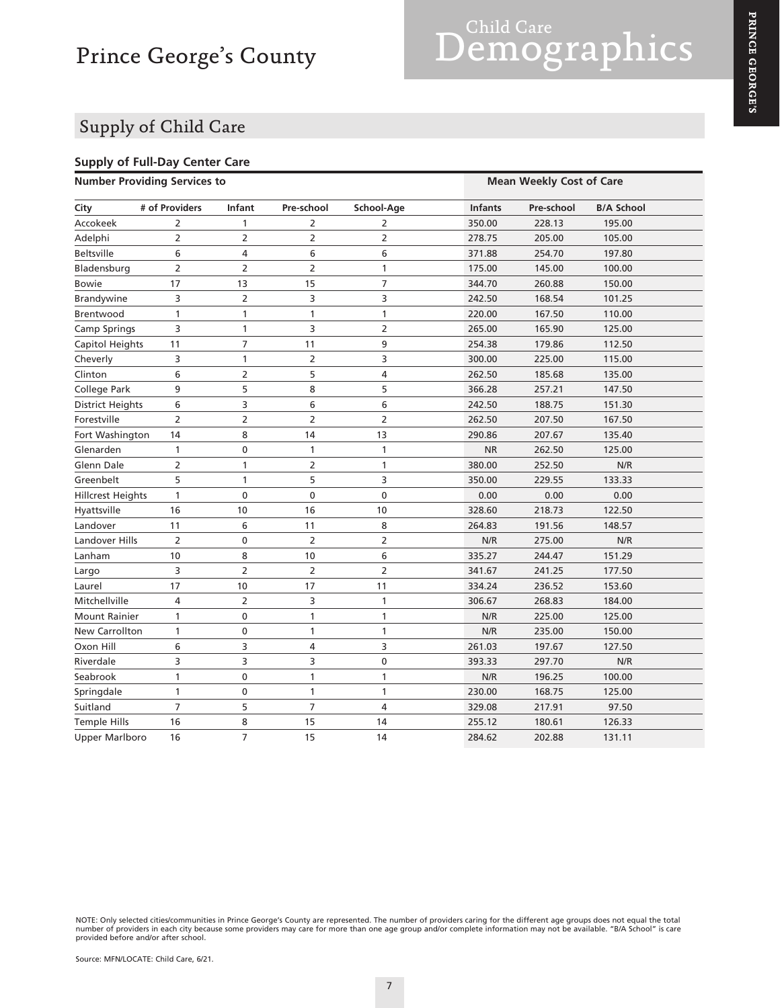### Supply of Child Care

#### **Supply of Full-Day Center Care Number Providing Services to Mean Weekly Cost of Care**

| <b>NUMBER FIGATION</b> SERVICES TO |                |                |                |                | <b>IVICAII VYCCNIY CUST UI CAIC</b> |            |                   |
|------------------------------------|----------------|----------------|----------------|----------------|-------------------------------------|------------|-------------------|
| City                               | # of Providers | <b>Infant</b>  | Pre-school     | School-Age     | <b>Infants</b>                      | Pre-school | <b>B/A School</b> |
| Accokeek                           | 2              | $\mathbf{1}$   | $\overline{2}$ | $\overline{2}$ | 350.00                              | 228.13     | 195.00            |
| Adelphi                            | 2              | $\overline{2}$ | $\overline{2}$ | $\overline{2}$ | 278.75                              | 205.00     | 105.00            |
| <b>Beltsville</b>                  | 6              | 4              | 6              | 6              | 371.88                              | 254.70     | 197.80            |
| Bladensburg                        | $\overline{2}$ | 2              | $\overline{2}$ | $\mathbf{1}$   | 175.00                              | 145.00     | 100.00            |
| <b>Bowie</b>                       | 17             | 13             | 15             | $\overline{7}$ | 344.70                              | 260.88     | 150.00            |
| Brandywine                         | 3              | 2              | 3              | 3              | 242.50                              | 168.54     | 101.25            |
| Brentwood                          | $\mathbf{1}$   | $\mathbf{1}$   | $\mathbf{1}$   | $\mathbf{1}$   | 220.00                              | 167.50     | 110.00            |
| Camp Springs                       | 3              | 1              | 3              | $\overline{2}$ | 265.00                              | 165.90     | 125.00            |
| Capitol Heights                    | 11             | 7              | 11             | 9              | 254.38                              | 179.86     | 112.50            |
| Cheverly                           | 3              | 1              | $\overline{2}$ | 3              | 300.00                              | 225.00     | 115.00            |
| Clinton                            | 6              | $\overline{2}$ | 5              | 4              | 262.50                              | 185.68     | 135.00            |
| College Park                       | 9              | 5              | 8              | 5              | 366.28                              | 257.21     | 147.50            |
| District Heights                   | 6              | 3              | 6              | 6              | 242.50                              | 188.75     | 151.30            |
| Forestville                        | $\overline{2}$ | 2              | $\overline{2}$ | $\overline{2}$ | 262.50                              | 207.50     | 167.50            |
| Fort Washington                    | 14             | 8              | 14             | 13             | 290.86                              | 207.67     | 135.40            |
| Glenarden                          | 1              | 0              | 1              | $\mathbf{1}$   | <b>NR</b>                           | 262.50     | 125.00            |
| Glenn Dale                         | $\overline{2}$ | 1              | $\overline{2}$ | $\mathbf{1}$   | 380.00                              | 252.50     | N/R               |
| Greenbelt                          | 5              | 1              | 5              | 3              | 350.00                              | 229.55     | 133.33            |
| <b>Hillcrest Heights</b>           | 1              | 0              | $\pmb{0}$      | 0              | 0.00                                | 0.00       | 0.00              |
| Hyattsville                        | 16             | 10             | 16             | 10             | 328.60                              | 218.73     | 122.50            |
| Landover                           | 11             | 6              | 11             | 8              | 264.83                              | 191.56     | 148.57            |
| Landover Hills                     | $\overline{2}$ | $\pmb{0}$      | $\overline{2}$ | $\overline{2}$ | N/R                                 | 275.00     | N/R               |
| Lanham                             | 10             | 8              | 10             | 6              | 335.27                              | 244.47     | 151.29            |
| Largo                              | 3              | $\overline{2}$ | $\overline{2}$ | $\overline{2}$ | 341.67                              | 241.25     | 177.50            |
| Laurel                             | 17             | 10             | 17             | 11             | 334.24                              | 236.52     | 153.60            |
| Mitchellville                      | 4              | $\overline{2}$ | 3              | 1              | 306.67                              | 268.83     | 184.00            |
| <b>Mount Rainier</b>               | $\mathbf{1}$   | 0              | $\mathbf{1}$   | $\mathbf{1}$   | N/R                                 | 225.00     | 125.00            |
| New Carrollton                     | 1              | 0              | $\mathbf{1}$   | $\mathbf{1}$   | N/R                                 | 235.00     | 150.00            |
| Oxon Hill                          | 6              | 3              | 4              | 3              | 261.03                              | 197.67     | 127.50            |
| Riverdale                          | 3              | 3              | 3              | 0              | 393.33                              | 297.70     | N/R               |
| Seabrook                           | $\mathbf{1}$   | 0              | $\mathbf{1}$   | $\mathbf{1}$   | N/R                                 | 196.25     | 100.00            |
| Springdale                         | $\mathbf{1}$   | $\pmb{0}$      | $\mathbf{1}$   | $\mathbf{1}$   | 230.00                              | 168.75     | 125.00            |
| Suitland                           | $\overline{7}$ | 5              | $\overline{7}$ | 4              | 329.08                              | 217.91     | 97.50             |
| <b>Temple Hills</b>                | 16             | 8              | 15             | 14             | 255.12                              | 180.61     | 126.33            |
| <b>Upper Marlboro</b>              | 16             | $\overline{7}$ | 15             | 14             | 284.62                              | 202.88     | 131.11            |

NOTE: Only selected cities/communities in Prince George's County are represented. The number of providers caring for the different age groups does not equal the total<br>number of providers in each city because some providers

PRINCE GEORGE'S **PRINCE GEORGE'S**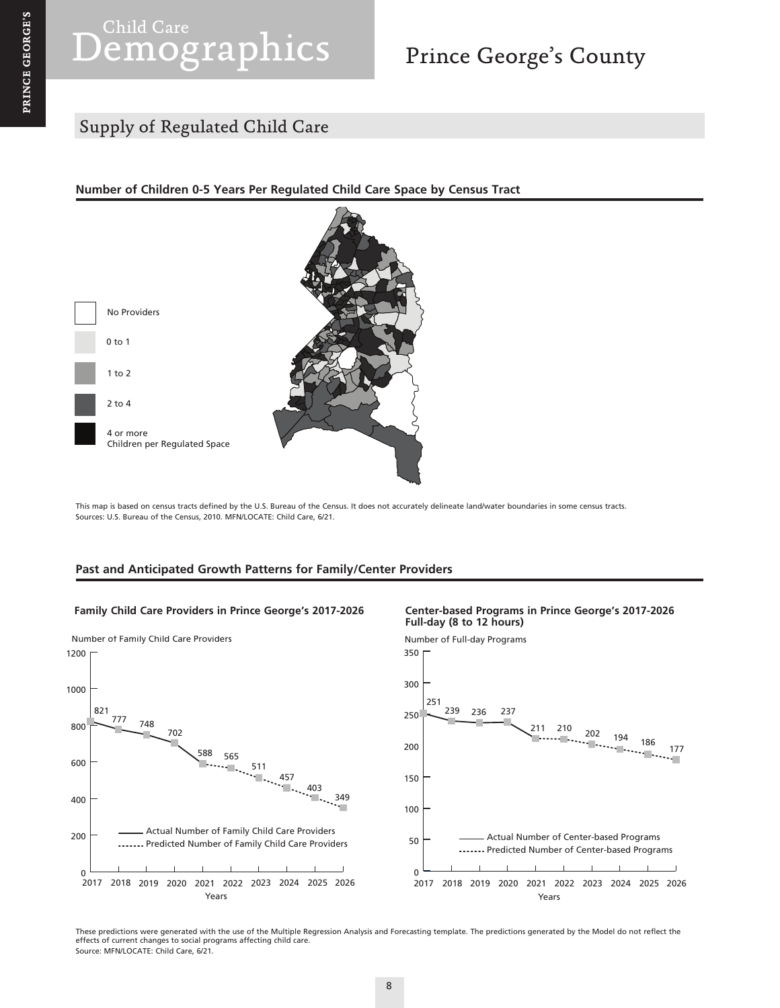# Child Care Child Care

# Prince George's County

## Supply of Regulated Child Care

#### **Number of Children 0-5 Years Per Regulated Child Care Space by Census Tract**



This map is based on census tracts defined by the U.S. Bureau of the Census. It does not accurately delineate land/water boundaries in some census tracts. Sources: U.S. Bureau of the Census, 2010. MFN/LOCATE: Child Care, 6/21.

#### **Past and Anticipated Growth Patterns for Family/Center Providers**

#### **Family Child Care Providers in Prince George's 2017-2026 Center-based Programs in Prince George's 2017-2026**



# **Full-day (8 to 12 hours)**



These predictions were generated with the use of the Multiple Regression Analysis and Forecasting template. The predictions generated by the Model do not reflect the effects of current changes to social programs affecting child care. Source: MFN/LOCATE: Child Care, 6/21.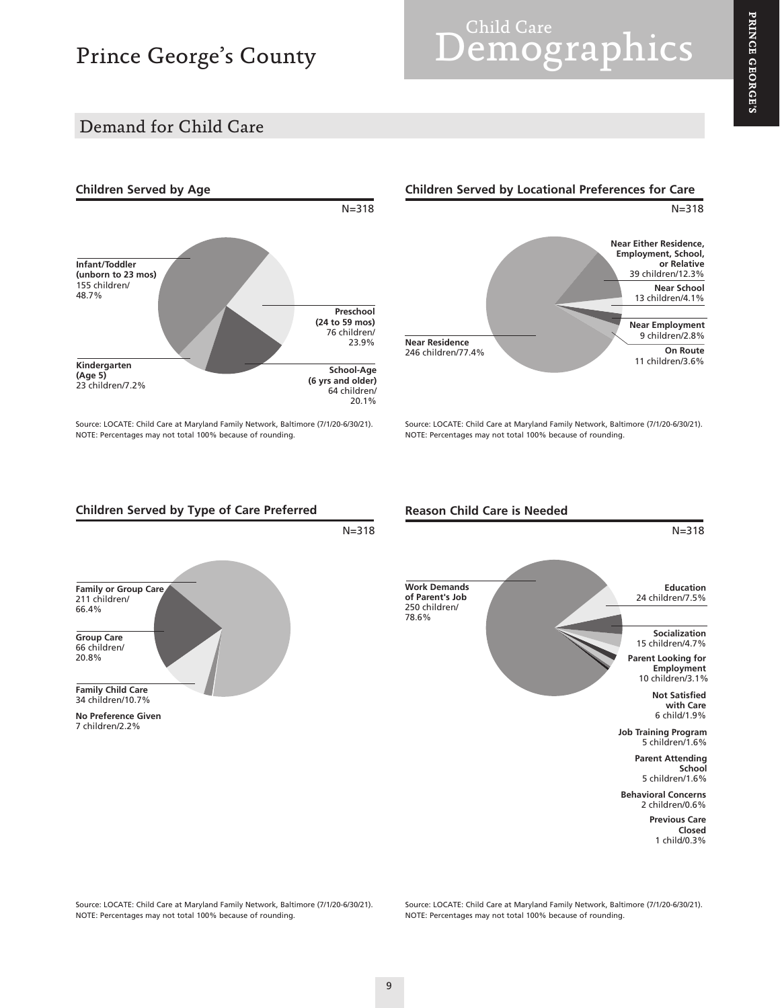# Prince George's County

# Child Care<br> **emographics**

### Demand for Child Care



Source: LOCATE: Child Care at Maryland Family Network, Baltimore (7/1/20-6/30/21). NOTE: Percentages may not total 100% because of rounding.



Source: LOCATE: Child Care at Maryland Family Network, Baltimore (7/1/20-6/30/21). NOTE: Percentages may not total 100% because of rounding.



**Reason Child Care is Needed**



Source: LOCATE: Child Care at Maryland Family Network, Baltimore (7/1/20-6/30/21). NOTE: Percentages may not total 100% because of rounding.

Source: LOCATE: Child Care at Maryland Family Network, Baltimore (7/1/20-6/30/21). NOTE: Percentages may not total 100% because of rounding.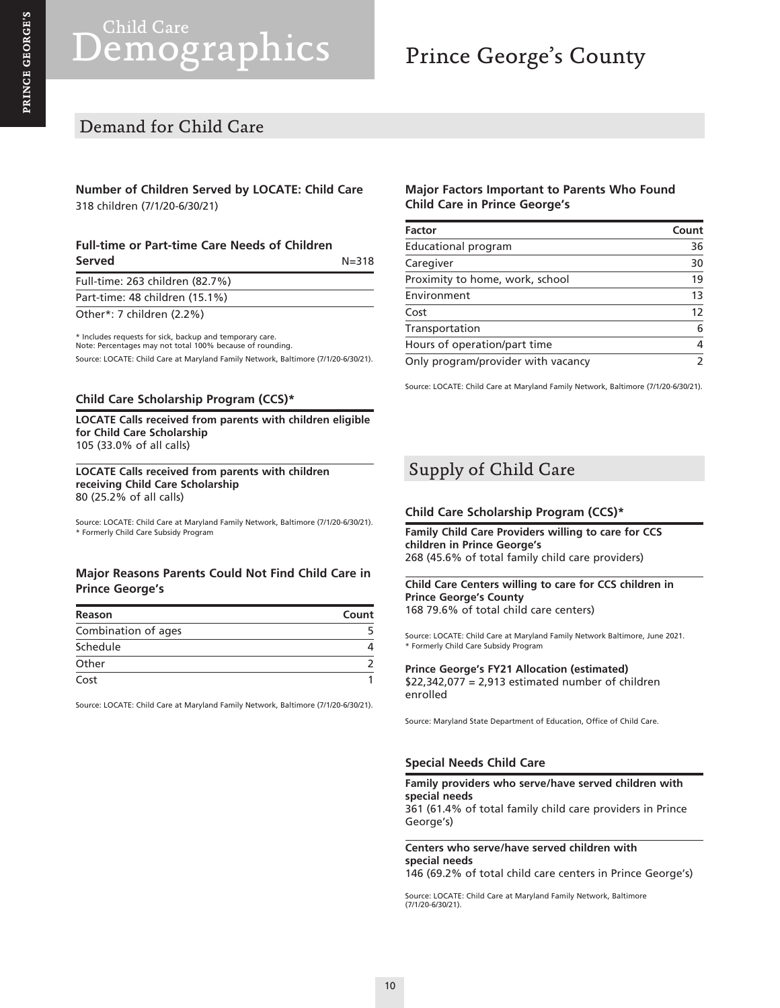# Child Care<br>**emographics**

# Prince George's County

### Demand for Child Care

#### **Number of Children Served by LOCATE: Child Care** 318 children (7/1/20-6/30/21)

#### **Full-time or Part-time Care Needs of Children Served**  $N = 318$

| Full-time: 263 children (82.7%) |  |
|---------------------------------|--|
| Part-time: 48 children (15.1%)  |  |
| Other*: 7 children (2.2%)       |  |

\* Includes requests for sick, backup and temporary care. Note: Percentages may not total 100% because of rounding. Source: LOCATE: Child Care at Maryland Family Network, Baltimore (7/1/20-6/30/21).

#### **Child Care Scholarship Program (CCS)\***

**LOCATE Calls received from parents with children eligible for Child Care Scholarship** 105 (33.0% of all calls)

**LOCATE Calls received from parents with children receiving Child Care Scholarship** 80 (25.2% of all calls)

Source: LOCATE: Child Care at Maryland Family Network, Baltimore (7/1/20-6/30/21). \* Formerly Child Care Subsidy Program

#### **Major Reasons Parents Could Not Find Child Care in Prince George's**

| Reason              | Count |
|---------------------|-------|
| Combination of ages |       |
| Schedule            |       |
| Other               |       |
| Cost                |       |

Source: LOCATE: Child Care at Maryland Family Network, Baltimore (7/1/20-6/30/21).

#### **Major Factors Important to Parents Who Found Child Care in Prince George's**

| <b>Factor</b>                      | Count         |
|------------------------------------|---------------|
| <b>Educational program</b>         | 36            |
| Caregiver                          | 30            |
| Proximity to home, work, school    | 19            |
| Environment                        | 13            |
| Cost                               | 12            |
| Transportation                     | 6             |
| Hours of operation/part time       | 4             |
| Only program/provider with vacancy | $\mathcal{P}$ |

Source: LOCATE: Child Care at Maryland Family Network, Baltimore (7/1/20-6/30/21).

### Supply of Child Care

#### **Child Care Scholarship Program (CCS)\***

**Family Child Care Providers willing to care for CCS children in Prince George's** 268 (45.6% of total family child care providers)

#### **Child Care Centers willing to care for CCS children in Prince George's County** 168 79.6% of total child care centers)

Source: LOCATE: Child Care at Maryland Family Network Baltimore, June 2021. \* Formerly Child Care Subsidy Program

**Prince George's FY21 Allocation (estimated)**  $$22,342,077 = 2,913$  estimated number of children enrolled

Source: Maryland State Department of Education, Office of Child Care.

#### **Special Needs Child Care**

#### **Family providers who serve/have served children with special needs**

361 (61.4% of total family child care providers in Prince George's)

#### **Centers who serve/have served children with special needs**

146 (69.2% of total child care centers in Prince George's)

Source: LOCATE: Child Care at Maryland Family Network, Baltimore (7/1/20-6/30/21).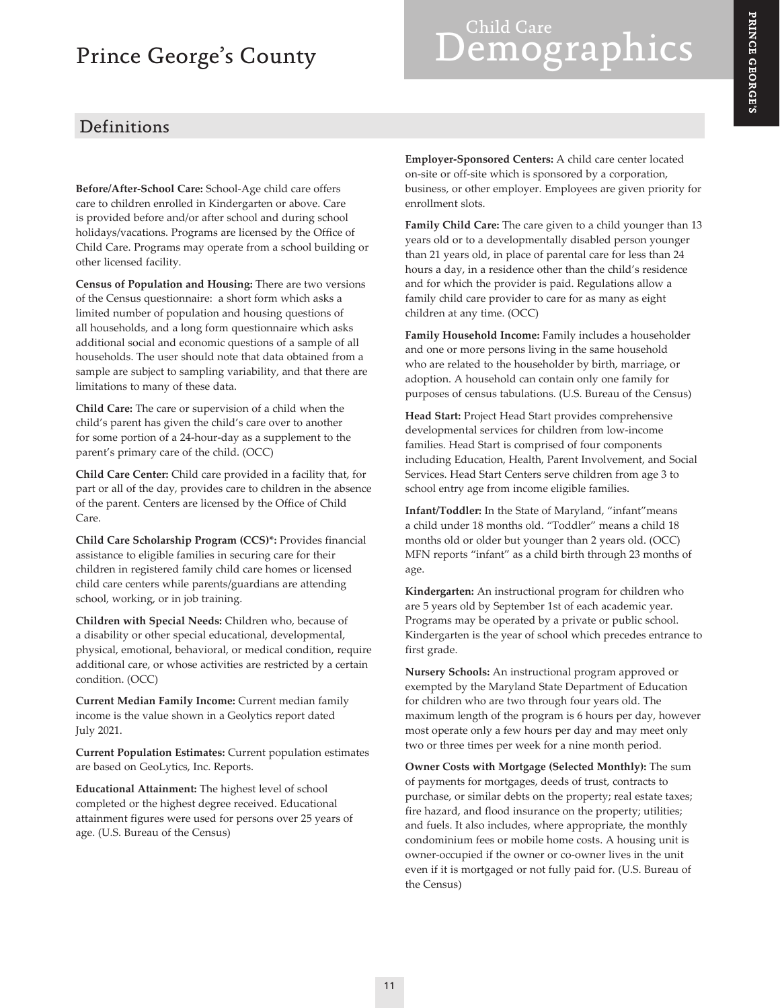## Prince George's County

# Definitions

**Before/After-School Care:** School-Age child care offers care to children enrolled in Kindergarten or above. Care is provided before and/or after school and during school holidays/vacations. Programs are licensed by the Office of Child Care. Programs may operate from a school building or other licensed facility.

**Census of Population and Housing:** There are two versions of the Census questionnaire: a short form which asks a limited number of population and housing questions of all households, and a long form questionnaire which asks additional social and economic questions of a sample of all households. The user should note that data obtained from a sample are subject to sampling variability, and that there are limitations to many of these data.

**Child Care:** The care or supervision of a child when the child's parent has given the child's care over to another for some portion of a 24-hour-day as a supplement to the parent's primary care of the child. (OCC)

**Child Care Center:** Child care provided in a facility that, for part or all of the day, provides care to children in the absence of the parent. Centers are licensed by the Office of Child Care.

**Child Care Scholarship Program (CCS)\*:** Provides financial assistance to eligible families in securing care for their children in registered family child care homes or licensed child care centers while parents/guardians are attending school, working, or in job training.

**Children with Special Needs:** Children who, because of a disability or other special educational, developmental, physical, emotional, behavioral, or medical condition, require additional care, or whose activities are restricted by a certain condition. (OCC)

**Current Median Family Income:** Current median family income is the value shown in a Geolytics report dated July 2021.

**Current Population Estimates:** Current population estimates are based on GeoLytics, Inc. Reports.

**Educational Attainment:** The highest level of school completed or the highest degree received. Educational attainment figures were used for persons over 25 years of age. (U.S. Bureau of the Census)

**Employer-Sponsored Centers:** A child care center located on-site or off-site which is sponsored by a corporation, business, or other employer. Employees are given priority for enrollment slots.

Demographics

**Family Child Care:** The care given to a child younger than 13 years old or to a developmentally disabled person younger than 21 years old, in place of parental care for less than 24 hours a day, in a residence other than the child's residence and for which the provider is paid. Regulations allow a family child care provider to care for as many as eight children at any time. (OCC)

**Family Household Income:** Family includes a householder and one or more persons living in the same household who are related to the householder by birth, marriage, or adoption. A household can contain only one family for purposes of census tabulations. (U.S. Bureau of the Census)

**Head Start:** Project Head Start provides comprehensive developmental services for children from low-income families. Head Start is comprised of four components including Education, Health, Parent Involvement, and Social Services. Head Start Centers serve children from age 3 to school entry age from income eligible families.

**Infant/Toddler:** In the State of Maryland, "infant"means a child under 18 months old. "Toddler" means a child 18 months old or older but younger than 2 years old. (OCC) MFN reports "infant" as a child birth through 23 months of age.

**Kindergarten:** An instructional program for children who are 5 years old by September 1st of each academic year. Programs may be operated by a private or public school. Kindergarten is the year of school which precedes entrance to first grade.

**Nursery Schools:** An instructional program approved or exempted by the Maryland State Department of Education for children who are two through four years old. The maximum length of the program is 6 hours per day, however most operate only a few hours per day and may meet only two or three times per week for a nine month period.

**Owner Costs with Mortgage (Selected Monthly):** The sum of payments for mortgages, deeds of trust, contracts to purchase, or similar debts on the property; real estate taxes; fire hazard, and flood insurance on the property; utilities; and fuels. It also includes, where appropriate, the monthly condominium fees or mobile home costs. A housing unit is owner-occupied if the owner or co-owner lives in the unit even if it is mortgaged or not fully paid for. (U.S. Bureau of the Census)